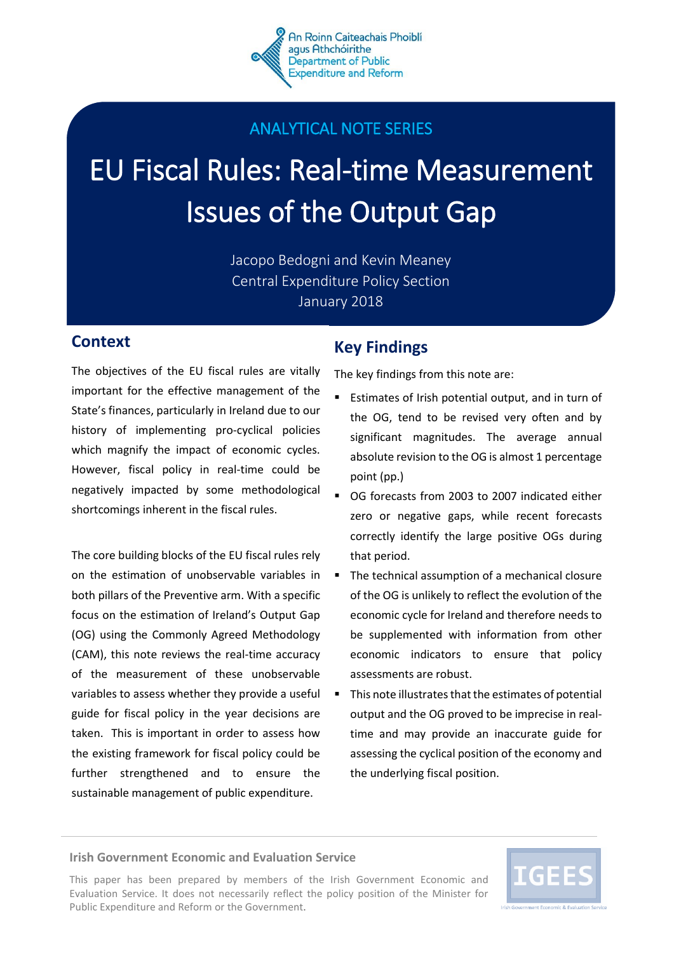

# ANALYTICAL NOTE SERIES

# EU Fiscal Rules: Real-time Measurement Issues of the Output Gap

Jacopo Bedogni and Kevin Meaney Central Expenditure Policy Section January 2018

## **Context**

The objectives of the EU fiscal rules are vitally important for the effective management of the State's finances, particularly in Ireland due to our history of implementing pro-cyclical policies which magnify the impact of economic cycles. However, fiscal policy in real-time could be negatively impacted by some methodological shortcomings inherent in the fiscal rules.

The core building blocks of the EU fiscal rules rely on the estimation of unobservable variables in both pillars of the Preventive arm. With a specific focus on the estimation of Ireland's Output Gap (OG) using the Commonly Agreed Methodology (CAM), this note reviews the real-time accuracy of the measurement of these unobservable variables to assess whether they provide a useful guide for fiscal policy in the year decisions are taken. This is important in order to assess how the existing framework for fiscal policy could be further strengthened and to ensure the sustainable management of public expenditure.

# **Key Findings**

The key findings from this note are:

- Estimates of Irish potential output, and in turn of the OG, tend to be revised very often and by significant magnitudes. The average annual absolute revision to the OG is almost 1 percentage point (pp.)
- OG forecasts from 2003 to 2007 indicated either zero or negative gaps, while recent forecasts correctly identify the large positive OGs during that period.
- The technical assumption of a mechanical closure of the OG is unlikely to reflect the evolution of the economic cycle for Ireland and therefore needs to be supplemented with information from other economic indicators to ensure that policy assessments are robust.
- This note illustrates that the estimates of potential output and the OG proved to be imprecise in realtime and may provide an inaccurate guide for assessing the cyclical position of the economy and the underlying fiscal position.

### **Irish Government Economic and Evaluation Service**

This paper has been prepared by members of the Irish Government Economic and Evaluation Service. It does not necessarily reflect the policy position of the Minister for Public Expenditure and Reform or the Government.

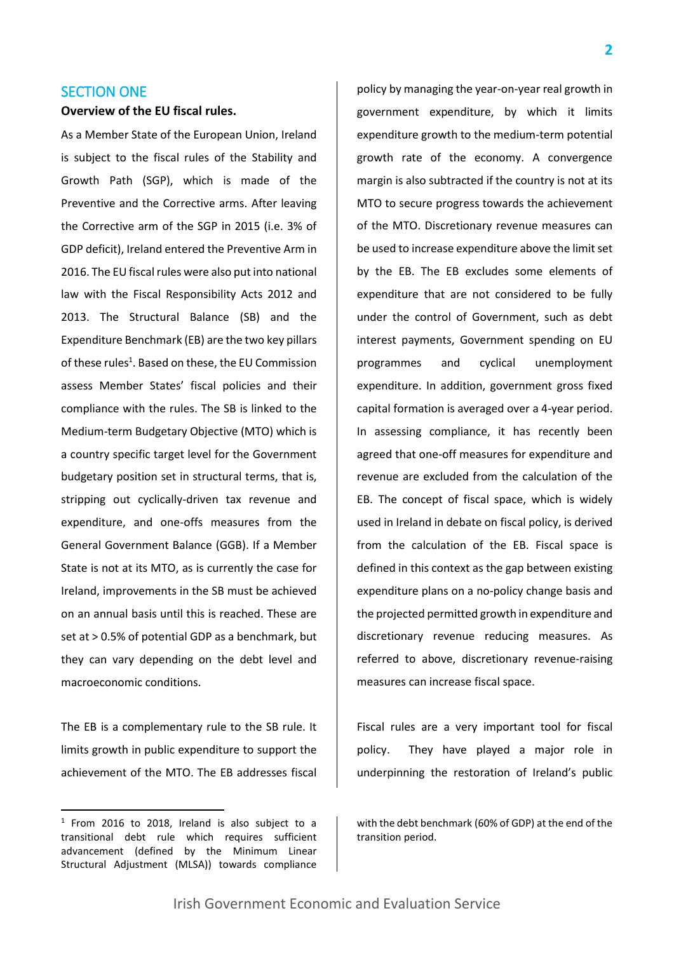## SECTION ONE

#### **Overview of the EU fiscal rules.**

As a Member State of the European Union, Ireland is subject to the fiscal rules of the Stability and Growth Path (SGP), which is made of the Preventive and the Corrective arms. After leaving the Corrective arm of the SGP in 2015 (i.e. 3% of GDP deficit), Ireland entered the Preventive Arm in 2016. The EU fiscal rules were also put into national law with the Fiscal Responsibility Acts 2012 and 2013. The Structural Balance (SB) and the Expenditure Benchmark (EB) are the two key pillars of these rules<sup>1</sup>. Based on these, the EU Commission assess Member States' fiscal policies and their compliance with the rules. The SB is linked to the Medium-term Budgetary Objective (MTO) which is a country specific target level for the Government budgetary position set in structural terms, that is, stripping out cyclically-driven tax revenue and expenditure, and one-offs measures from the General Government Balance (GGB). If a Member State is not at its MTO, as is currently the case for Ireland, improvements in the SB must be achieved on an annual basis until this is reached. These are set at > 0.5% of potential GDP as a benchmark, but they can vary depending on the debt level and macroeconomic conditions.

The EB is a complementary rule to the SB rule. It limits growth in public expenditure to support the achievement of the MTO. The EB addresses fiscal

**.** 

policy by managing the year-on-year real growth in government expenditure, by which it limits expenditure growth to the medium-term potential growth rate of the economy. A convergence margin is also subtracted if the country is not at its MTO to secure progress towards the achievement of the MTO. Discretionary revenue measures can be used to increase expenditure above the limit set by the EB. The EB excludes some elements of expenditure that are not considered to be fully under the control of Government, such as debt interest payments, Government spending on EU programmes and cyclical unemployment expenditure. In addition, government gross fixed capital formation is averaged over a 4-year period. In assessing compliance, it has recently been agreed that one-off measures for expenditure and revenue are excluded from the calculation of the EB. The concept of fiscal space, which is widely used in Ireland in debate on fiscal policy, is derived from the calculation of the EB. Fiscal space is defined in this context as the gap between existing expenditure plans on a no-policy change basis and the projected permitted growth in expenditure and discretionary revenue reducing measures. As referred to above, discretionary revenue-raising measures can increase fiscal space.

Fiscal rules are a very important tool for fiscal policy. They have played a major role in underpinning the restoration of Ireland's public

<sup>&</sup>lt;sup>1</sup> From 2016 to 2018, Ireland is also subject to a transitional debt rule which requires sufficient advancement (defined by the Minimum Linear Structural Adjustment (MLSA)) towards compliance

with the debt benchmark (60% of GDP) at the end of the transition period.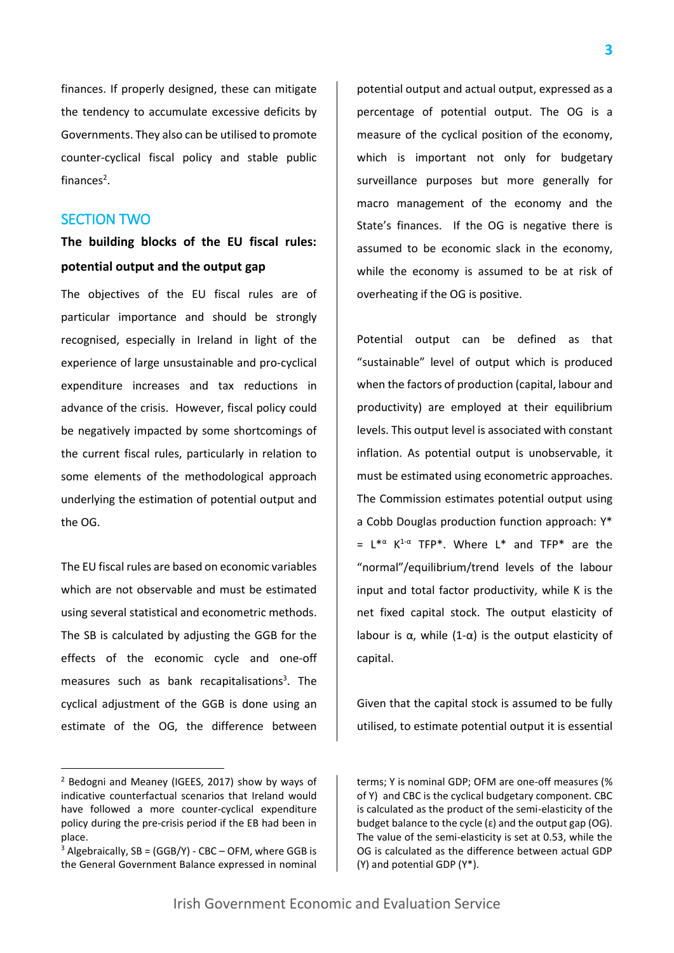finances. If properly designed, these can mitigate the tendency to accumulate excessive deficits by Governments. They also can be utilised to promote counter-cyclical fiscal policy and stable public finances<sup>2</sup>.

## SECTION TWO

**The building blocks of the EU fiscal rules: potential output and the output gap** 

The objectives of the EU fiscal rules are of particular importance and should be strongly recognised, especially in Ireland in light of the experience of large unsustainable and pro-cyclical expenditure increases and tax reductions in advance of the crisis. However, fiscal policy could be negatively impacted by some shortcomings of the current fiscal rules, particularly in relation to some elements of the methodological approach underlying the estimation of potential output and the OG.

The EU fiscal rules are based on economic variables which are not observable and must be estimated using several statistical and econometric methods. The SB is calculated by adjusting the GGB for the effects of the economic cycle and one-off measures such as bank recapitalisations<sup>3</sup>. The cyclical adjustment of the GGB is done using an estimate of the OG, the difference between

 $\overline{a}$ 

potential output and actual output, expressed as a percentage of potential output. The OG is a measure of the cyclical position of the economy, which is important not only for budgetary surveillance purposes but more generally for macro management of the economy and the State's finances. If the OG is negative there is assumed to be economic slack in the economy, while the economy is assumed to be at risk of overheating if the OG is positive.

Potential output can be defined as that "sustainable" level of output which is produced when the factors of production (capital, labour and productivity) are employed at their equilibrium levels. This output level is associated with constant inflation. As potential output is unobservable, it must be estimated using econometric approaches. The Commission estimates potential output using a Cobb Douglas production function approach: Y\*  $= L^{*\alpha} K^{1-\alpha}$  TFP\*. Where L\* and TFP\* are the "normal"/equilibrium/trend levels of the labour input and total factor productivity, while K is the net fixed capital stock. The output elasticity of labour is  $\alpha$ , while (1- $\alpha$ ) is the output elasticity of capital.

Given that the capital stock is assumed to be fully utilised, to estimate potential output it is essential

<sup>2</sup> Bedogni and Meaney (IGEES, 2017) show by ways of indicative counterfactual scenarios that Ireland would have followed a more counter-cyclical expenditure policy during the pre-crisis period if the EB had been in place.

 $3$  Algebraically, SB = (GGB/Y) - CBC – OFM, where GGB is the General Government Balance expressed in nominal

terms; Y is nominal GDP; OFM are one-off measures (% of Y) and CBC is the cyclical budgetary component. CBC is calculated as the product of the semi-elasticity of the budget balance to the cycle ( $\varepsilon$ ) and the output gap (OG). The value of the semi-elasticity is set at 0.53, while the OG is calculated as the difference between actual GDP (Y) and potential GDP (Y\*).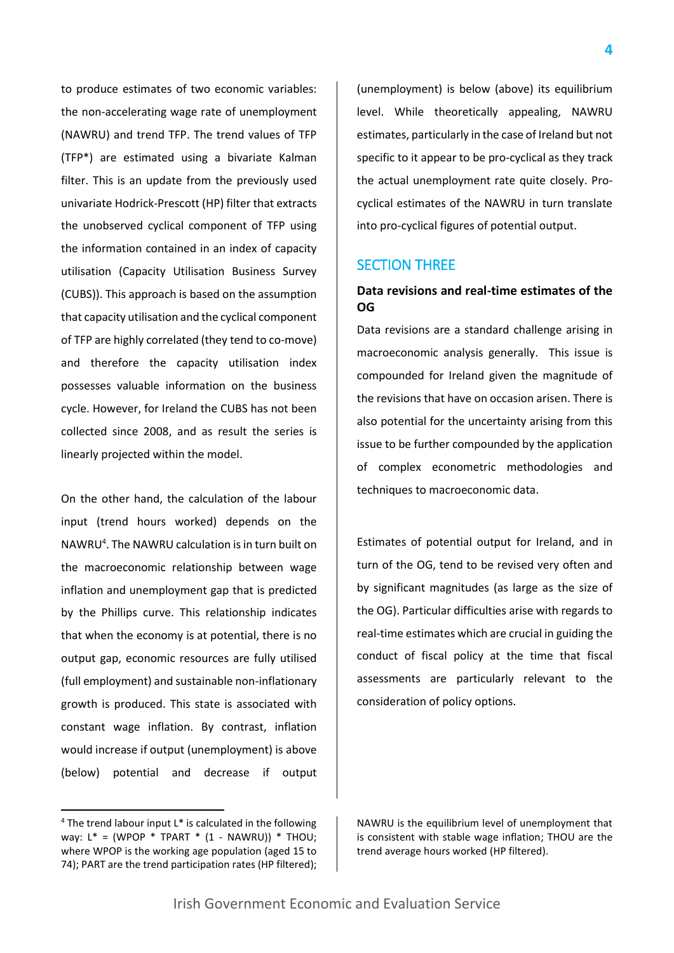to produce estimates of two economic variables: the non-accelerating wage rate of unemployment (NAWRU) and trend TFP. The trend values of TFP (TFP\*) are estimated using a bivariate Kalman filter. This is an update from the previously used univariate Hodrick-Prescott (HP) filter that extracts the unobserved cyclical component of TFP using the information contained in an index of capacity utilisation (Capacity Utilisation Business Survey (CUBS)). This approach is based on the assumption that capacity utilisation and the cyclical component of TFP are highly correlated (they tend to co-move) and therefore the capacity utilisation index possesses valuable information on the business cycle. However, for Ireland the CUBS has not been collected since 2008, and as result the series is linearly projected within the model.

On the other hand, the calculation of the labour input (trend hours worked) depends on the NAWRU<sup>4</sup>. The NAWRU calculation is in turn built on the macroeconomic relationship between wage inflation and unemployment gap that is predicted by the Phillips curve. This relationship indicates that when the economy is at potential, there is no output gap, economic resources are fully utilised (full employment) and sustainable non-inflationary growth is produced. This state is associated with constant wage inflation. By contrast, inflation would increase if output (unemployment) is above (below) potential and decrease if output

<sup>4</sup> The trend labour input L\* is calculated in the following way:  $L^* = (WPOP * TPART * (1 - NAWRU)) * THOU;$ where WPOP is the working age population (aged 15 to 74); PART are the trend participation rates (HP filtered);

**.** 

(unemployment) is below (above) its equilibrium level. While theoretically appealing, NAWRU estimates, particularly in the case of Ireland but not specific to it appear to be pro-cyclical as they track the actual unemployment rate quite closely. Procyclical estimates of the NAWRU in turn translate into pro-cyclical figures of potential output.

### SECTION THREE

## **Data revisions and real-time estimates of the OG**

Data revisions are a standard challenge arising in macroeconomic analysis generally. This issue is compounded for Ireland given the magnitude of the revisions that have on occasion arisen. There is also potential for the uncertainty arising from this issue to be further compounded by the application of complex econometric methodologies and techniques to macroeconomic data.

Estimates of potential output for Ireland, and in turn of the OG, tend to be revised very often and by significant magnitudes (as large as the size of the OG). Particular difficulties arise with regards to real-time estimates which are crucial in guiding the conduct of fiscal policy at the time that fiscal assessments are particularly relevant to the consideration of policy options.

NAWRU is the equilibrium level of unemployment that is consistent with stable wage inflation; THOU are the trend average hours worked (HP filtered).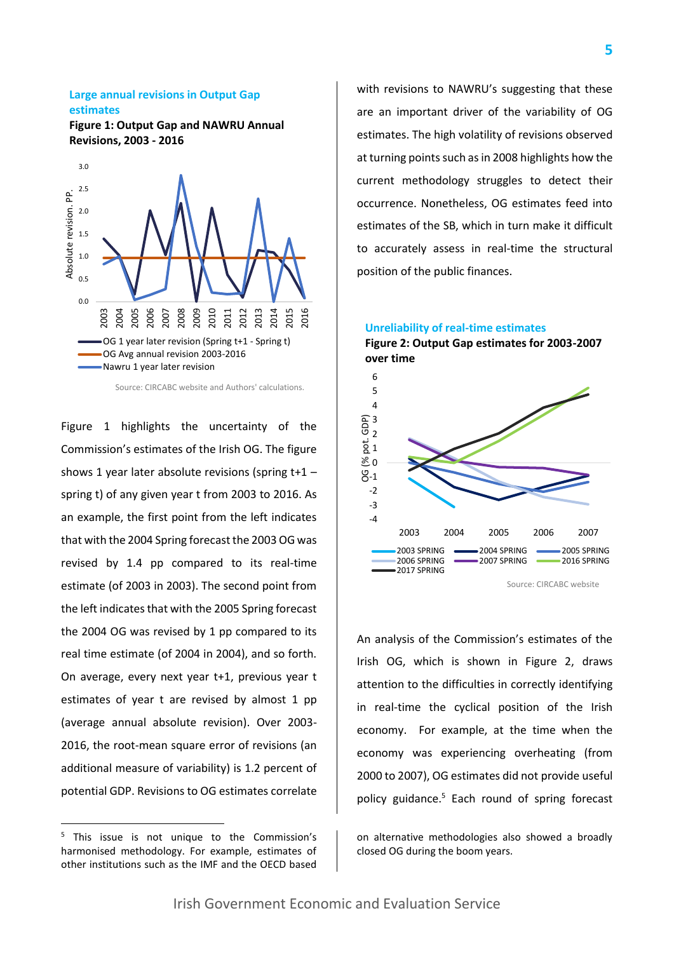## **Large annual revisions in Output Gap estimates**

**Figure 1: Output Gap and NAWRU Annual** 



OG 1 year later revision (Spring t+1 - Spring t) OG Avg annual revision 2003-2016 Nawru 1 year later revision

Source: CIRCABC website and Authors' calculations.

Figure 1 highlights the uncertainty of the Commission's estimates of the Irish OG. The figure shows 1 year later absolute revisions (spring t+1 – spring t) of any given year t from 2003 to 2016. As an example, the first point from the left indicates that with the 2004 Spring forecast the 2003 OG was revised by 1.4 pp compared to its real-time estimate (of 2003 in 2003). The second point from the left indicates that with the 2005 Spring forecast the 2004 OG was revised by 1 pp compared to its real time estimate (of 2004 in 2004), and so forth. On average, every next year t+1, previous year t estimates of year t are revised by almost 1 pp (average annual absolute revision). Over 2003- 2016, the root-mean square error of revisions (an additional measure of variability) is 1.2 percent of potential GDP. Revisions to OG estimates correlate

<sup>5</sup> This issue is not unique to the Commission's harmonised methodology. For example, estimates of other institutions such as the IMF and the OECD based

**.** 

with revisions to NAWRU's suggesting that these are an important driver of the variability of OG estimates. The high volatility of revisions observed at turning points such as in 2008 highlights how the current methodology struggles to detect their occurrence. Nonetheless, OG estimates feed into estimates of the SB, which in turn make it difficult to accurately assess in real-time the structural position of the public finances.

#### -4 -3 -2  $C_{-1}^{0}$  $80$  $\frac{1}{2}$ 2 3 4 5 6 2003 2004 2005 2006 2007 OG (% pot. GDP) 2003 SPRING <del>2000</del> 2004 SPRING 2005 SPRING<br>2006 SPRING 2007 SPRING 2016 SPRING  $-2016$  SPRING 2017 SPRING **Unreliability of real-time estimates Figure 2: Output Gap estimates for 2003-2007 over time**

Source: CIRCABC website

An analysis of the Commission's estimates of the Irish OG, which is shown in Figure 2, draws attention to the difficulties in correctly identifying in real-time the cyclical position of the Irish economy. For example, at the time when the economy was experiencing overheating (from 2000 to 2007), OG estimates did not provide useful policy guidance.<sup>5</sup> Each round of spring forecast

on alternative methodologies also showed a broadly closed OG during the boom years.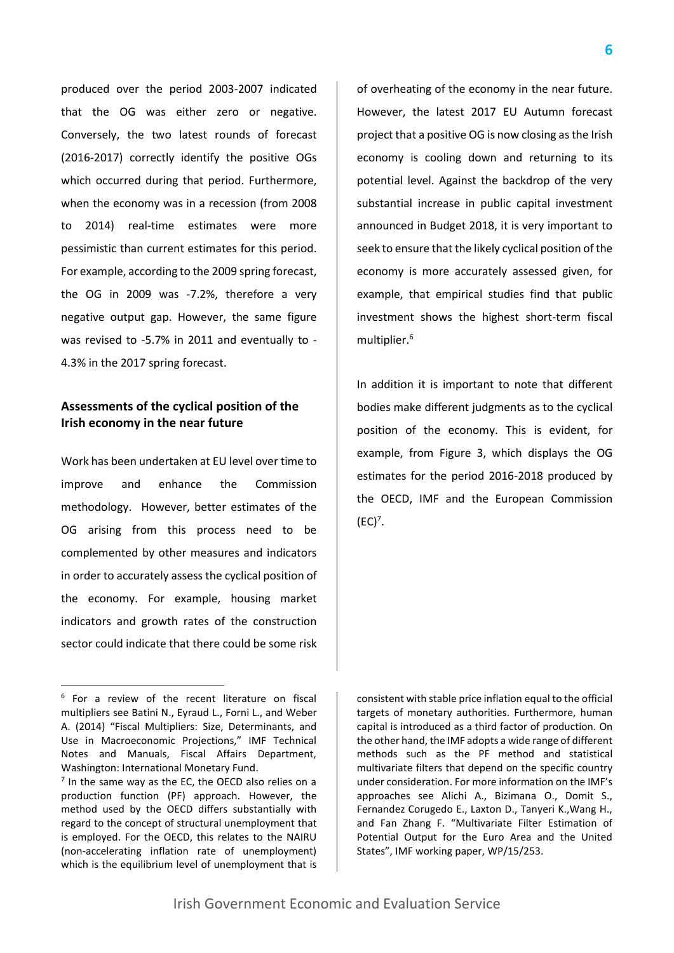produced over the period 2003-2007 indicated that the OG was either zero or negative. Conversely, the two latest rounds of forecast (2016-2017) correctly identify the positive OGs which occurred during that period. Furthermore, when the economy was in a recession (from 2008 to 2014) real-time estimates were more pessimistic than current estimates for this period. For example, according to the 2009 spring forecast, the OG in 2009 was -7.2%, therefore a very negative output gap. However, the same figure was revised to -5.7% in 2011 and eventually to - 4.3% in the 2017 spring forecast.

## **Assessments of the cyclical position of the Irish economy in the near future**

Work has been undertaken at EU level over time to improve and enhance the Commission methodology. However, better estimates of the OG arising from this process need to be complemented by other measures and indicators in order to accurately assess the cyclical position of the economy. For example, housing market indicators and growth rates of the construction sector could indicate that there could be some risk

1

of overheating of the economy in the near future. However, the latest 2017 EU Autumn forecast project that a positive OG is now closing as the Irish economy is cooling down and returning to its potential level. Against the backdrop of the very substantial increase in public capital investment announced in Budget 2018, it is very important to seek to ensure that the likely cyclical position of the economy is more accurately assessed given, for example, that empirical studies find that public investment shows the highest short-term fiscal multiplier. 6

In addition it is important to note that different bodies make different judgments as to the cyclical position of the economy. This is evident, for example, from Figure 3, which displays the OG estimates for the period 2016-2018 produced by the OECD, IMF and the European Commission  $(EC)^7$ .

<sup>&</sup>lt;sup>6</sup> For a review of the recent literature on fiscal multipliers see Batini N., Eyraud L., Forni L., and Weber A. (2014) "Fiscal Multipliers: Size, Determinants, and Use in Macroeconomic Projections," IMF Technical Notes and Manuals, Fiscal Affairs Department, Washington: International Monetary Fund.

 $<sup>7</sup>$  In the same way as the EC, the OECD also relies on a</sup> production function (PF) approach. However, the method used by the OECD differs substantially with regard to the concept of structural unemployment that is employed. For the OECD, this relates to the NAIRU (non-accelerating inflation rate of unemployment) which is the equilibrium level of unemployment that is

consistent with stable price inflation equal to the official targets of monetary authorities. Furthermore, human capital is introduced as a third factor of production. On the other hand, the IMF adopts a wide range of different methods such as the PF method and statistical multivariate filters that depend on the specific country under consideration. For more information on the IMF's approaches see Alichi A., Bizimana O., Domit S., Fernandez Corugedo E., Laxton D., Tanyeri K.,Wang H., and Fan Zhang F. "Multivariate Filter Estimation of Potential Output for the Euro Area and the United States", IMF working paper, WP/15/253.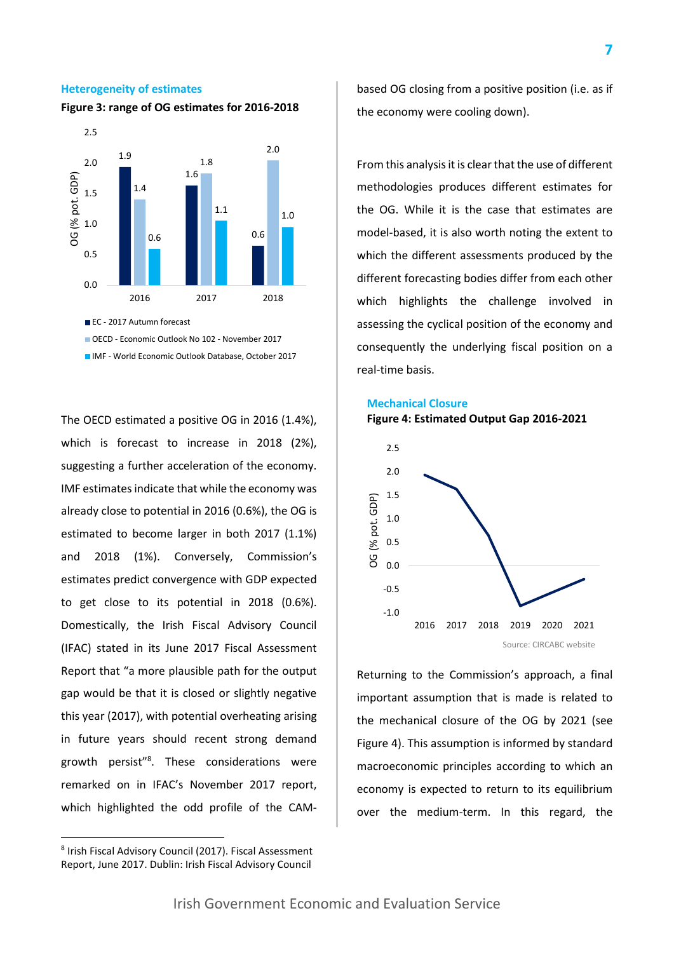#### **Heterogeneity of estimates**





The OECD estimated a positive OG in 2016 (1.4%), which is forecast to increase in 2018 (2%), suggesting a further acceleration of the economy. IMF estimates indicate that while the economy was already close to potential in 2016 (0.6%), the OG is estimated to become larger in both 2017 (1.1%) and 2018 (1%). Conversely, Commission's estimates predict convergence with GDP expected to get close to its potential in 2018 (0.6%). Domestically, the Irish Fiscal Advisory Council (IFAC) stated in its June 2017 Fiscal Assessment Report that "a more plausible path for the output gap would be that it is closed or slightly negative this year (2017), with potential overheating arising in future years should recent strong demand growth persist"<sup>8</sup> . These considerations were remarked on in IFAC's November 2017 report, which highlighted the odd profile of the CAM-

**.** 

based OG closing from a positive position (i.e. as if the economy were cooling down).

From this analysis it is clear that the use of different methodologies produces different estimates for the OG. While it is the case that estimates are model-based, it is also worth noting the extent to which the different assessments produced by the different forecasting bodies differ from each other which highlights the challenge involved in assessing the cyclical position of the economy and consequently the underlying fiscal position on a real-time basis.

#### **Mechanical Closure**





Returning to the Commission's approach, a final important assumption that is made is related to the mechanical closure of the OG by 2021 (see Figure 4). This assumption is informed by standard macroeconomic principles according to which an economy is expected to return to its equilibrium over the medium-term. In this regard, the

<sup>8</sup> Irish Fiscal Advisory Council (2017). Fiscal Assessment Report, June 2017. Dublin: Irish Fiscal Advisory Council